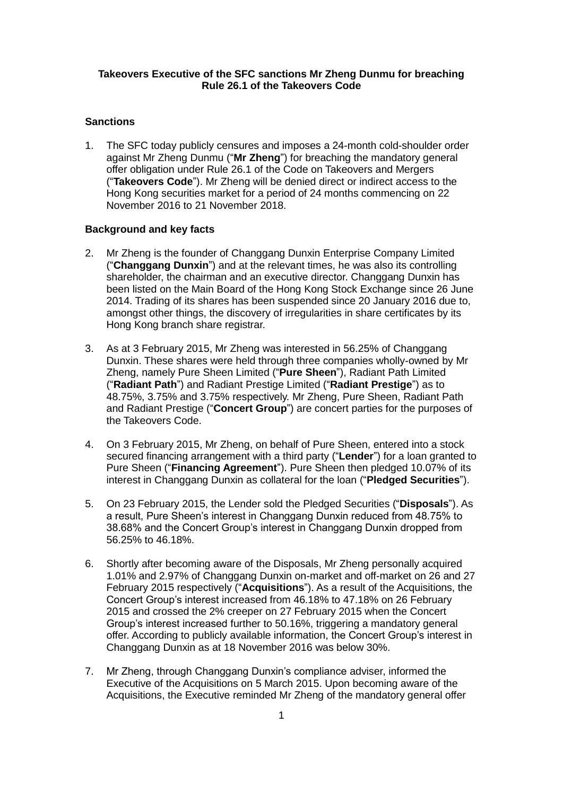#### **Takeovers Executive of the SFC sanctions Mr Zheng Dunmu for breaching Rule 26.1 of the Takeovers Code**

## **Sanctions**

1. The SFC today publicly censures and imposes a 24-month cold-shoulder order against Mr Zheng Dunmu ("**Mr Zheng**") for breaching the mandatory general offer obligation under Rule 26.1 of the Code on Takeovers and Mergers ("**Takeovers Code**"). Mr Zheng will be denied direct or indirect access to the Hong Kong securities market for a period of 24 months commencing on 22 November 2016 to 21 November 2018.

#### **Background and key facts**

- 2. Mr Zheng is the founder of Changgang Dunxin Enterprise Company Limited ("**Changgang Dunxin**") and at the relevant times, he was also its controlling shareholder, the chairman and an executive director. Changgang Dunxin has been listed on the Main Board of the Hong Kong Stock Exchange since 26 June 2014. Trading of its shares has been suspended since 20 January 2016 due to, amongst other things, the discovery of irregularities in share certificates by its Hong Kong branch share registrar.
- 3. As at 3 February 2015, Mr Zheng was interested in 56.25% of Changgang Dunxin. These shares were held through three companies wholly-owned by Mr Zheng, namely Pure Sheen Limited ("**Pure Sheen**"), Radiant Path Limited ("**Radiant Path**") and Radiant Prestige Limited ("**Radiant Prestige**") as to 48.75%, 3.75% and 3.75% respectively. Mr Zheng, Pure Sheen, Radiant Path and Radiant Prestige ("**Concert Group**") are concert parties for the purposes of the Takeovers Code.
- 4. On 3 February 2015, Mr Zheng, on behalf of Pure Sheen, entered into a stock secured financing arrangement with a third party ("**Lender**") for a loan granted to Pure Sheen ("**Financing Agreement**"). Pure Sheen then pledged 10.07% of its interest in Changgang Dunxin as collateral for the loan ("**Pledged Securities**").
- 5. On 23 February 2015, the Lender sold the Pledged Securities ("**Disposals**"). As a result, Pure Sheen's interest in Changgang Dunxin reduced from 48.75% to 38.68% and the Concert Group's interest in Changgang Dunxin dropped from 56.25% to 46.18%.
- 6. Shortly after becoming aware of the Disposals, Mr Zheng personally acquired 1.01% and 2.97% of Changgang Dunxin on-market and off-market on 26 and 27 February 2015 respectively ("**Acquisitions**"). As a result of the Acquisitions, the Concert Group's interest increased from 46.18% to 47.18% on 26 February 2015 and crossed the 2% creeper on 27 February 2015 when the Concert Group's interest increased further to 50.16%, triggering a mandatory general offer. According to publicly available information, the Concert Group's interest in Changgang Dunxin as at 18 November 2016 was below 30%.
- 7. Mr Zheng, through Changgang Dunxin's compliance adviser, informed the Executive of the Acquisitions on 5 March 2015. Upon becoming aware of the Acquisitions, the Executive reminded Mr Zheng of the mandatory general offer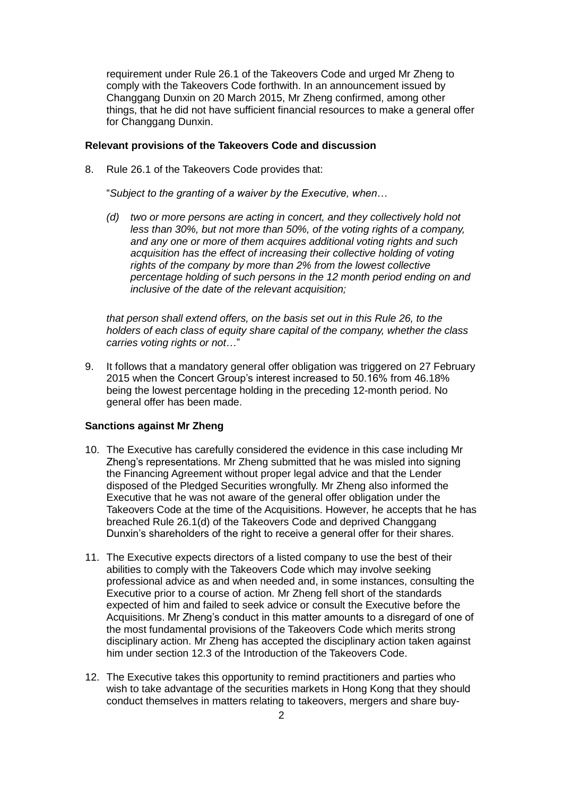requirement under Rule 26.1 of the Takeovers Code and urged Mr Zheng to comply with the Takeovers Code forthwith. In an announcement issued by Changgang Dunxin on 20 March 2015, Mr Zheng confirmed, among other things, that he did not have sufficient financial resources to make a general offer for Changgang Dunxin.

#### **Relevant provisions of the Takeovers Code and discussion**

8. Rule 26.1 of the Takeovers Code provides that:

"*Subject to the granting of a waiver by the Executive, when…* 

*(d) two or more persons are acting in concert, and they collectively hold not less than 30%, but not more than 50%, of the voting rights of a company, and any one or more of them acquires additional voting rights and such acquisition has the effect of increasing their collective holding of voting rights of the company by more than 2% from the lowest collective percentage holding of such persons in the 12 month period ending on and inclusive of the date of the relevant acquisition;* 

*that person shall extend offers, on the basis set out in this Rule 26, to the holders of each class of equity share capital of the company, whether the class carries voting rights or not*…"

9. It follows that a mandatory general offer obligation was triggered on 27 February 2015 when the Concert Group's interest increased to 50.16% from 46.18% being the lowest percentage holding in the preceding 12-month period. No general offer has been made.

### **Sanctions against Mr Zheng**

- 10. The Executive has carefully considered the evidence in this case including Mr Zheng's representations. Mr Zheng submitted that he was misled into signing the Financing Agreement without proper legal advice and that the Lender disposed of the Pledged Securities wrongfully. Mr Zheng also informed the Executive that he was not aware of the general offer obligation under the Takeovers Code at the time of the Acquisitions. However, he accepts that he has breached Rule 26.1(d) of the Takeovers Code and deprived Changgang Dunxin's shareholders of the right to receive a general offer for their shares.
- 11. The Executive expects directors of a listed company to use the best of their abilities to comply with the Takeovers Code which may involve seeking professional advice as and when needed and, in some instances, consulting the Executive prior to a course of action. Mr Zheng fell short of the standards expected of him and failed to seek advice or consult the Executive before the Acquisitions. Mr Zheng's conduct in this matter amounts to a disregard of one of the most fundamental provisions of the Takeovers Code which merits strong disciplinary action. Mr Zheng has accepted the disciplinary action taken against him under section 12.3 of the Introduction of the Takeovers Code.
- 12. The Executive takes this opportunity to remind practitioners and parties who wish to take advantage of the securities markets in Hong Kong that they should conduct themselves in matters relating to takeovers, mergers and share buy-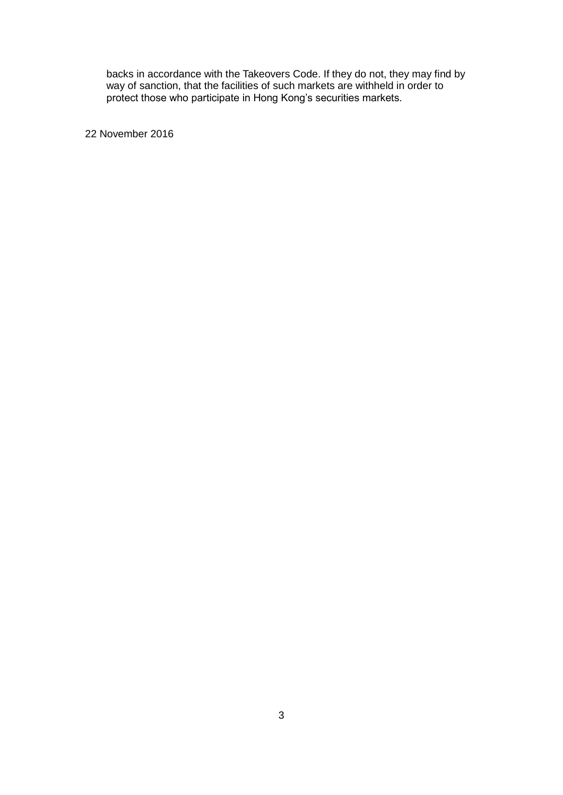backs in accordance with the Takeovers Code. If they do not, they may find by way of sanction, that the facilities of such markets are withheld in order to protect those who participate in Hong Kong's securities markets.

22 November 2016